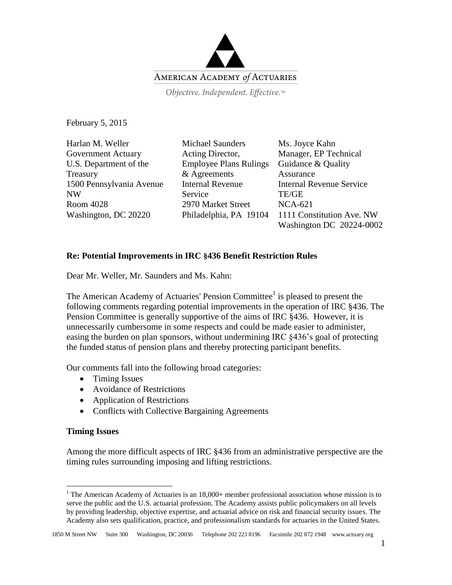

Objective. Independent. Effective.™

February 5, 2015

Harlan M. Weller Government Actuary U.S. Department of the Treasury 1500 Pennsylvania Avenue NW Room 4028 Washington, DC 20220

Michael Saunders Acting Director, Employee Plans Rulings & Agreements Internal Revenue **Service** 2970 Market Street Philadelphia, PA 19104

Ms. Joyce Kahn Manager, EP Technical Guidance & Quality Assurance Internal Revenue Service TE/GE NCA-621 1111 Constitution Ave. NW Washington DC 20224-0002

# **Re: Potential Improvements in IRC §436 Benefit Restriction Rules**

Dear Mr. Weller, Mr. Saunders and Ms. Kahn:

The American Academy of Actuaries' Pension Committee<sup>1</sup> is pleased to present the following comments regarding potential improvements in the operation of IRC §436. The Pension Committee is generally supportive of the aims of IRC §436. However, it is unnecessarily cumbersome in some respects and could be made easier to administer, easing the burden on plan sponsors, without undermining IRC §436's goal of protecting the funded status of pension plans and thereby protecting participant benefits.

Our comments fall into the following broad categories:

- Timing Issues
- Avoidance of Restrictions
- Application of Restrictions
- Conflicts with Collective Bargaining Agreements

# **Timing Issues**

 $\overline{a}$ 

Among the more difficult aspects of IRC §436 from an administrative perspective are the timing rules surrounding imposing and lifting restrictions.

<sup>&</sup>lt;sup>1</sup> The American Academy of Actuaries is an 18,000+ member professional association whose mission is to serve the public and the U.S. actuarial profession. The Academy assists public policymakers on all levels by providing leadership, objective expertise, and actuarial advice on risk and financial security issues. The Academy also sets qualification, practice, and professionalism standards for actuaries in the United States.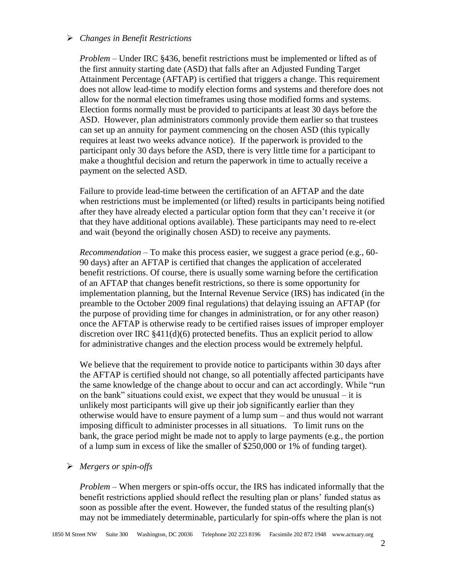#### *Changes in Benefit Restrictions*

*Problem* – Under IRC §436, benefit restrictions must be implemented or lifted as of the first annuity starting date (ASD) that falls after an Adjusted Funding Target Attainment Percentage (AFTAP) is certified that triggers a change. This requirement does not allow lead-time to modify election forms and systems and therefore does not allow for the normal election timeframes using those modified forms and systems. Election forms normally must be provided to participants at least 30 days before the ASD. However, plan administrators commonly provide them earlier so that trustees can set up an annuity for payment commencing on the chosen ASD (this typically requires at least two weeks advance notice). If the paperwork is provided to the participant only 30 days before the ASD, there is very little time for a participant to make a thoughtful decision and return the paperwork in time to actually receive a payment on the selected ASD.

Failure to provide lead-time between the certification of an AFTAP and the date when restrictions must be implemented (or lifted) results in participants being notified after they have already elected a particular option form that they can't receive it (or that they have additional options available). These participants may need to re-elect and wait (beyond the originally chosen ASD) to receive any payments.

*Recommendation* – To make this process easier, we suggest a grace period (e.g., 60- 90 days) after an AFTAP is certified that changes the application of accelerated benefit restrictions. Of course, there is usually some warning before the certification of an AFTAP that changes benefit restrictions, so there is some opportunity for implementation planning, but the Internal Revenue Service (IRS) has indicated (in the preamble to the October 2009 final regulations) that delaying issuing an AFTAP (for the purpose of providing time for changes in administration, or for any other reason) once the AFTAP is otherwise ready to be certified raises issues of improper employer discretion over IRC  $\S 411(d)(6)$  protected benefits. Thus an explicit period to allow for administrative changes and the election process would be extremely helpful.

We believe that the requirement to provide notice to participants within 30 days after the AFTAP is certified should not change, so all potentially affected participants have the same knowledge of the change about to occur and can act accordingly. While "run on the bank" situations could exist, we expect that they would be unusual  $-$  it is unlikely most participants will give up their job significantly earlier than they otherwise would have to ensure payment of a lump sum – and thus would not warrant imposing difficult to administer processes in all situations. To limit runs on the bank, the grace period might be made not to apply to large payments (e.g., the portion of a lump sum in excess of like the smaller of \$250,000 or 1% of funding target).

#### *Mergers or spin-offs*

*Problem* – When mergers or spin-offs occur, the IRS has indicated informally that the benefit restrictions applied should reflect the resulting plan or plans' funded status as soon as possible after the event. However, the funded status of the resulting plan(s) may not be immediately determinable, particularly for spin-offs where the plan is not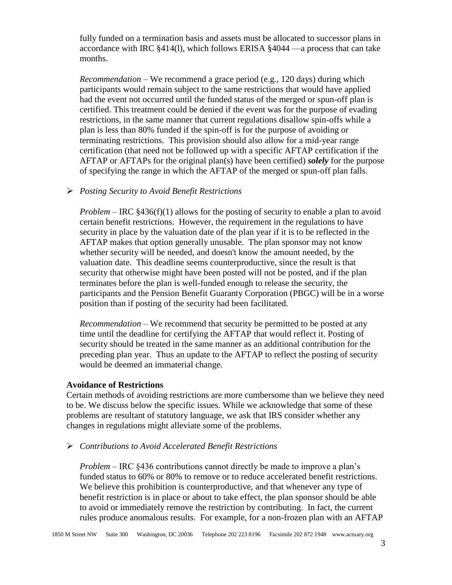fully funded on a termination basis and assets must be allocated to successor plans in accordance with IRC §414(l), which follows ERISA §4044 —a process that can take months.

*Recommendation* – We recommend a grace period (e.g., 120 days) during which participants would remain subject to the same restrictions that would have applied had the event not occurred until the funded status of the merged or spun-off plan is certified. This treatment could be denied if the event was for the purpose of evading restrictions, in the same manner that current regulations disallow spin-offs while a plan is less than 80% funded if the spin-off is for the purpose of avoiding or terminating restrictions. This provision should also allow for a mid-year range certification (that need not be followed up with a specific AFTAP certification if the AFTAP or AFTAPs for the original plan(s) have been certified) *solely* for the purpose of specifying the range in which the AFTAP of the merged or spun-off plan falls.

# *Posting Security to Avoid Benefit Restrictions*

*Problem* – IRC §436(f)(1) allows for the posting of security to enable a plan to avoid certain benefit restrictions. However, the requirement in the regulations to have security in place by the valuation date of the plan year if it is to be reflected in the AFTAP makes that option generally unusable. The plan sponsor may not know whether security will be needed, and doesn't know the amount needed, by the valuation date. This deadline seems counterproductive, since the result is that security that otherwise might have been posted will not be posted, and if the plan terminates before the plan is well-funded enough to release the security, the participants and the Pension Benefit Guaranty Corporation (PBGC) will be in a worse position than if posting of the security had been facilitated.

*Recommendation* – We recommend that security be permitted to be posted at any time until the deadline for certifying the AFTAP that would reflect it. Posting of security should be treated in the same manner as an additional contribution for the preceding plan year. Thus an update to the AFTAP to reflect the posting of security would be deemed an immaterial change.

## **Avoidance of Restrictions**

Certain methods of avoiding restrictions are more cumbersome than we believe they need to be. We discuss below the specific issues. While we acknowledge that some of these problems are resultant of statutory language, we ask that IRS consider whether any changes in regulations might alleviate some of the problems.

*Contributions to Avoid Accelerated Benefit Restrictions*

*Problem* – IRC §436 contributions cannot directly be made to improve a plan's funded status to 60% or 80% to remove or to reduce accelerated benefit restrictions. We believe this prohibition is counterproductive, and that whenever any type of benefit restriction is in place or about to take effect, the plan sponsor should be able to avoid or immediately remove the restriction by contributing. In fact, the current rules produce anomalous results. For example, for a non-frozen plan with an AFTAP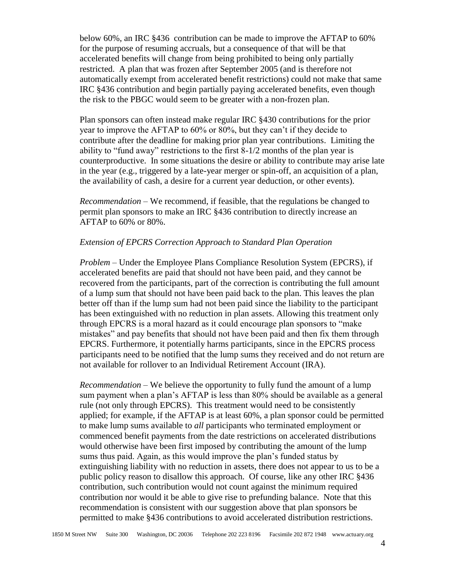below 60%, an IRC §436 contribution can be made to improve the AFTAP to 60% for the purpose of resuming accruals, but a consequence of that will be that accelerated benefits will change from being prohibited to being only partially restricted. A plan that was frozen after September 2005 (and is therefore not automatically exempt from accelerated benefit restrictions) could not make that same IRC §436 contribution and begin partially paying accelerated benefits, even though the risk to the PBGC would seem to be greater with a non-frozen plan.

Plan sponsors can often instead make regular IRC §430 contributions for the prior year to improve the AFTAP to 60% or 80%, but they can't if they decide to contribute after the deadline for making prior plan year contributions. Limiting the ability to "fund away" restrictions to the first 8-1/2 months of the plan year is counterproductive. In some situations the desire or ability to contribute may arise late in the year (e.g., triggered by a late-year merger or spin-off, an acquisition of a plan, the availability of cash, a desire for a current year deduction, or other events).

*Recommendation* – We recommend, if feasible, that the regulations be changed to permit plan sponsors to make an IRC §436 contribution to directly increase an AFTAP to 60% or 80%.

# *Extension of EPCRS Correction Approach to Standard Plan Operation*

*Problem* – Under the Employee Plans Compliance Resolution System (EPCRS), if accelerated benefits are paid that should not have been paid, and they cannot be recovered from the participants, part of the correction is contributing the full amount of a lump sum that should not have been paid back to the plan. This leaves the plan better off than if the lump sum had not been paid since the liability to the participant has been extinguished with no reduction in plan assets. Allowing this treatment only through EPCRS is a moral hazard as it could encourage plan sponsors to "make mistakes" and pay benefits that should not have been paid and then fix them through EPCRS. Furthermore, it potentially harms participants, since in the EPCRS process participants need to be notified that the lump sums they received and do not return are not available for rollover to an Individual Retirement Account (IRA).

*Recommendation* – We believe the opportunity to fully fund the amount of a lump sum payment when a plan's AFTAP is less than 80% should be available as a general rule (not only through EPCRS). This treatment would need to be consistently applied; for example, if the AFTAP is at least 60%, a plan sponsor could be permitted to make lump sums available to *all* participants who terminated employment or commenced benefit payments from the date restrictions on accelerated distributions would otherwise have been first imposed by contributing the amount of the lump sums thus paid. Again, as this would improve the plan's funded status by extinguishing liability with no reduction in assets, there does not appear to us to be a public policy reason to disallow this approach. Of course, like any other IRC §436 contribution, such contribution would not count against the minimum required contribution nor would it be able to give rise to prefunding balance. Note that this recommendation is consistent with our suggestion above that plan sponsors be permitted to make §436 contributions to avoid accelerated distribution restrictions.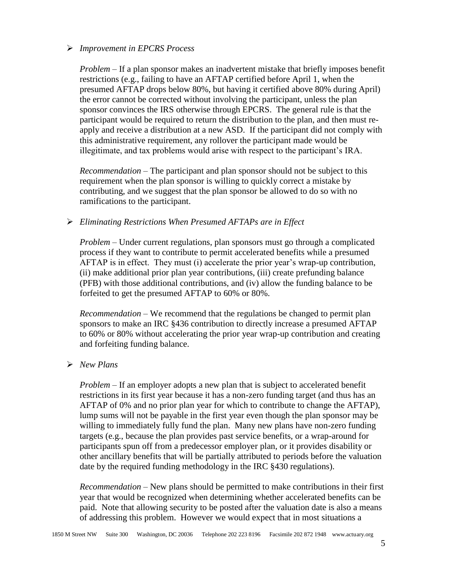# *Improvement in EPCRS Process*

*Problem* – If a plan sponsor makes an inadvertent mistake that briefly imposes benefit restrictions (e.g., failing to have an AFTAP certified before April 1, when the presumed AFTAP drops below 80%, but having it certified above 80% during April) the error cannot be corrected without involving the participant, unless the plan sponsor convinces the IRS otherwise through EPCRS. The general rule is that the participant would be required to return the distribution to the plan, and then must reapply and receive a distribution at a new ASD. If the participant did not comply with this administrative requirement, any rollover the participant made would be illegitimate, and tax problems would arise with respect to the participant's IRA.

*Recommendation* – The participant and plan sponsor should not be subject to this requirement when the plan sponsor is willing to quickly correct a mistake by contributing, and we suggest that the plan sponsor be allowed to do so with no ramifications to the participant.

# *Eliminating Restrictions When Presumed AFTAPs are in Effect*

*Problem* – Under current regulations, plan sponsors must go through a complicated process if they want to contribute to permit accelerated benefits while a presumed AFTAP is in effect. They must (i) accelerate the prior year's wrap-up contribution, (ii) make additional prior plan year contributions, (iii) create prefunding balance (PFB) with those additional contributions, and (iv) allow the funding balance to be forfeited to get the presumed AFTAP to 60% or 80%.

*Recommendation* – We recommend that the regulations be changed to permit plan sponsors to make an IRC §436 contribution to directly increase a presumed AFTAP to 60% or 80% without accelerating the prior year wrap-up contribution and creating and forfeiting funding balance.

# *New Plans*

*Problem –* If an employer adopts a new plan that is subject to accelerated benefit restrictions in its first year because it has a non-zero funding target (and thus has an AFTAP of 0% and no prior plan year for which to contribute to change the AFTAP), lump sums will not be payable in the first year even though the plan sponsor may be willing to immediately fully fund the plan. Many new plans have non-zero funding targets (e.g., because the plan provides past service benefits, or a wrap-around for participants spun off from a predecessor employer plan, or it provides disability or other ancillary benefits that will be partially attributed to periods before the valuation date by the required funding methodology in the IRC §430 regulations).

*Recommendation* – New plans should be permitted to make contributions in their first year that would be recognized when determining whether accelerated benefits can be paid. Note that allowing security to be posted after the valuation date is also a means of addressing this problem. However we would expect that in most situations a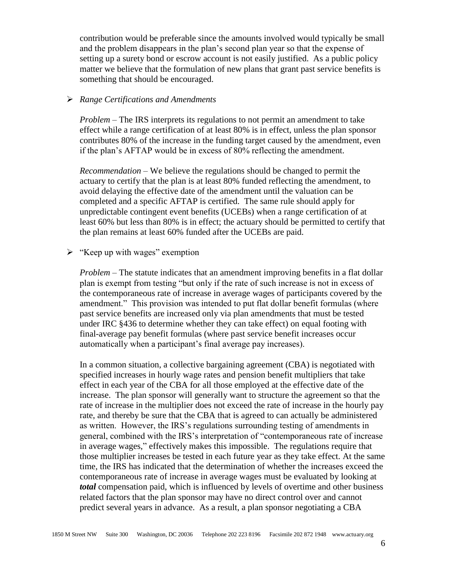contribution would be preferable since the amounts involved would typically be small and the problem disappears in the plan's second plan year so that the expense of setting up a surety bond or escrow account is not easily justified. As a public policy matter we believe that the formulation of new plans that grant past service benefits is something that should be encouraged.

## *Range Certifications and Amendments*

*Problem* – The IRS interprets its regulations to not permit an amendment to take effect while a range certification of at least 80% is in effect, unless the plan sponsor contributes 80% of the increase in the funding target caused by the amendment, even if the plan's AFTAP would be in excess of 80% reflecting the amendment.

*Recommendation* – We believe the regulations should be changed to permit the actuary to certify that the plan is at least 80% funded reflecting the amendment, to avoid delaying the effective date of the amendment until the valuation can be completed and a specific AFTAP is certified. The same rule should apply for unpredictable contingent event benefits (UCEBs) when a range certification of at least 60% but less than 80% is in effect; the actuary should be permitted to certify that the plan remains at least 60% funded after the UCEBs are paid.

 $\triangleright$  "Keep up with wages" exemption

*Problem* – The statute indicates that an amendment improving benefits in a flat dollar plan is exempt from testing "but only if the rate of such increase is not in excess of the contemporaneous rate of increase in average wages of participants covered by the amendment." This provision was intended to put flat dollar benefit formulas (where past service benefits are increased only via plan amendments that must be tested under IRC §436 to determine whether they can take effect) on equal footing with final-average pay benefit formulas (where past service benefit increases occur automatically when a participant's final average pay increases).

In a common situation, a collective bargaining agreement (CBA) is negotiated with specified increases in hourly wage rates and pension benefit multipliers that take effect in each year of the CBA for all those employed at the effective date of the increase. The plan sponsor will generally want to structure the agreement so that the rate of increase in the multiplier does not exceed the rate of increase in the hourly pay rate, and thereby be sure that the CBA that is agreed to can actually be administered as written. However, the IRS's regulations surrounding testing of amendments in general, combined with the IRS's interpretation of "contemporaneous rate of increase in average wages," effectively makes this impossible. The regulations require that those multiplier increases be tested in each future year as they take effect. At the same time, the IRS has indicated that the determination of whether the increases exceed the contemporaneous rate of increase in average wages must be evaluated by looking at *total* compensation paid, which is influenced by levels of overtime and other business related factors that the plan sponsor may have no direct control over and cannot predict several years in advance. As a result, a plan sponsor negotiating a CBA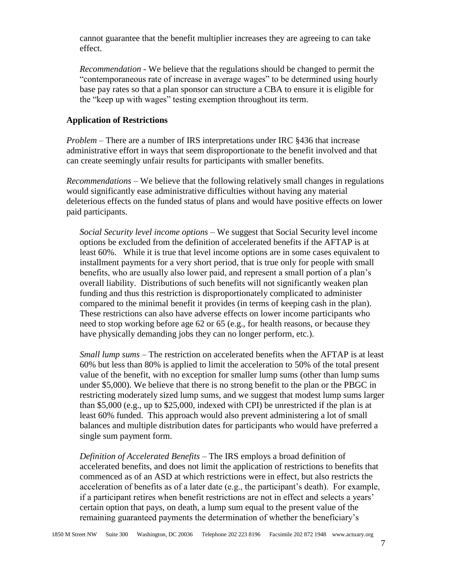cannot guarantee that the benefit multiplier increases they are agreeing to can take effect.

*Recommendation* - We believe that the regulations should be changed to permit the "contemporaneous rate of increase in average wages" to be determined using hourly base pay rates so that a plan sponsor can structure a CBA to ensure it is eligible for the "keep up with wages" testing exemption throughout its term.

## **Application of Restrictions**

*Problem* – There are a number of IRS interpretations under IRC §436 that increase administrative effort in ways that seem disproportionate to the benefit involved and that can create seemingly unfair results for participants with smaller benefits.

*Recommendations* – We believe that the following relatively small changes in regulations would significantly ease administrative difficulties without having any material deleterious effects on the funded status of plans and would have positive effects on lower paid participants.

*Social Security level income options* – We suggest that Social Security level income options be excluded from the definition of accelerated benefits if the AFTAP is at least 60%. While it is true that level income options are in some cases equivalent to installment payments for a very short period, that is true only for people with small benefits, who are usually also lower paid, and represent a small portion of a plan's overall liability. Distributions of such benefits will not significantly weaken plan funding and thus this restriction is disproportionately complicated to administer compared to the minimal benefit it provides (in terms of keeping cash in the plan). These restrictions can also have adverse effects on lower income participants who need to stop working before age 62 or 65 (e.g., for health reasons, or because they have physically demanding jobs they can no longer perform, etc.).

*Small lump sums* – The restriction on accelerated benefits when the AFTAP is at least 60% but less than 80% is applied to limit the acceleration to 50% of the total present value of the benefit, with no exception for smaller lump sums (other than lump sums under \$5,000). We believe that there is no strong benefit to the plan or the PBGC in restricting moderately sized lump sums, and we suggest that modest lump sums larger than \$5,000 (e.g., up to \$25,000, indexed with CPI) be unrestricted if the plan is at least 60% funded. This approach would also prevent administering a lot of small balances and multiple distribution dates for participants who would have preferred a single sum payment form.

*Definition of Accelerated Benefits* – The IRS employs a broad definition of accelerated benefits, and does not limit the application of restrictions to benefits that commenced as of an ASD at which restrictions were in effect, but also restricts the acceleration of benefits as of a later date (e.g., the participant's death). For example, if a participant retires when benefit restrictions are not in effect and selects a years' certain option that pays, on death, a lump sum equal to the present value of the remaining guaranteed payments the determination of whether the beneficiary's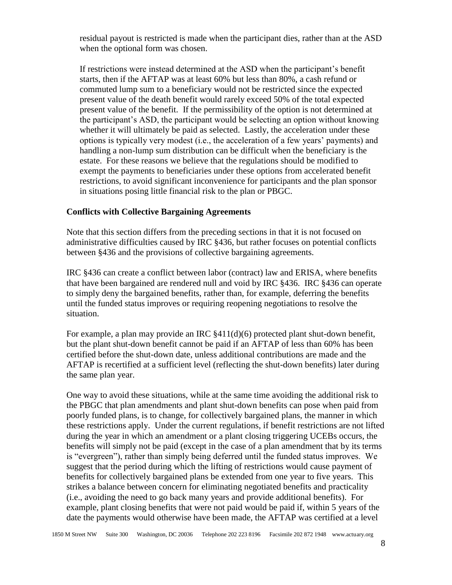residual payout is restricted is made when the participant dies, rather than at the ASD when the optional form was chosen.

If restrictions were instead determined at the ASD when the participant's benefit starts, then if the AFTAP was at least 60% but less than 80%, a cash refund or commuted lump sum to a beneficiary would not be restricted since the expected present value of the death benefit would rarely exceed 50% of the total expected present value of the benefit. If the permissibility of the option is not determined at the participant's ASD, the participant would be selecting an option without knowing whether it will ultimately be paid as selected. Lastly, the acceleration under these options is typically very modest (i.e., the acceleration of a few years' payments) and handling a non-lump sum distribution can be difficult when the beneficiary is the estate. For these reasons we believe that the regulations should be modified to exempt the payments to beneficiaries under these options from accelerated benefit restrictions, to avoid significant inconvenience for participants and the plan sponsor in situations posing little financial risk to the plan or PBGC.

## **Conflicts with Collective Bargaining Agreements**

Note that this section differs from the preceding sections in that it is not focused on administrative difficulties caused by IRC §436, but rather focuses on potential conflicts between §436 and the provisions of collective bargaining agreements.

IRC §436 can create a conflict between labor (contract) law and ERISA, where benefits that have been bargained are rendered null and void by IRC §436. IRC §436 can operate to simply deny the bargained benefits, rather than, for example, deferring the benefits until the funded status improves or requiring reopening negotiations to resolve the situation.

For example, a plan may provide an IRC  $§411(d)(6)$  protected plant shut-down benefit, but the plant shut-down benefit cannot be paid if an AFTAP of less than 60% has been certified before the shut-down date, unless additional contributions are made and the AFTAP is recertified at a sufficient level (reflecting the shut-down benefits) later during the same plan year.

One way to avoid these situations, while at the same time avoiding the additional risk to the PBGC that plan amendments and plant shut-down benefits can pose when paid from poorly funded plans, is to change, for collectively bargained plans, the manner in which these restrictions apply. Under the current regulations, if benefit restrictions are not lifted during the year in which an amendment or a plant closing triggering UCEBs occurs, the benefits will simply not be paid (except in the case of a plan amendment that by its terms is "evergreen"), rather than simply being deferred until the funded status improves. We suggest that the period during which the lifting of restrictions would cause payment of benefits for collectively bargained plans be extended from one year to five years. This strikes a balance between concern for eliminating negotiated benefits and practicality (i.e., avoiding the need to go back many years and provide additional benefits). For example, plant closing benefits that were not paid would be paid if, within 5 years of the date the payments would otherwise have been made, the AFTAP was certified at a level